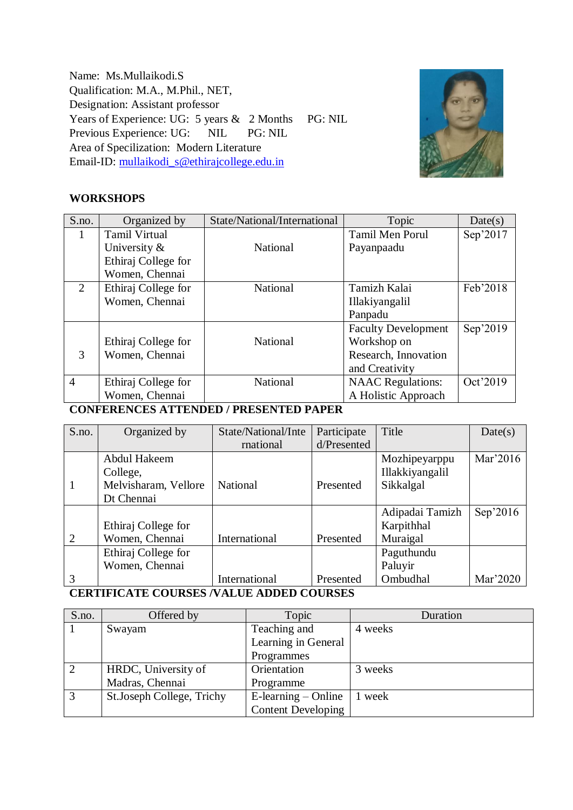Name: Ms.Mullaikodi.S Qualification: M.A., M.Phil., NET, Designation: Assistant professor Years of Experience: UG: 5 years & 2 Months PG: NIL Previous Experience: UG: NIL PG: NIL Area of Specilization: Modern Literature Email-ID: [mullaikodi\\_s@ethirajcollege.edu.in](mailto:mullaikodi_s@ethirajcollege.edu.in)



#### **WORKSHOPS**

| S.no.          | Organized by         | State/National/International | Topic                      | Date(s)  |
|----------------|----------------------|------------------------------|----------------------------|----------|
| 1              | <b>Tamil Virtual</b> |                              | <b>Tamil Men Porul</b>     | Sep'2017 |
|                | University $\&$      | National                     | Payanpaadu                 |          |
|                | Ethiraj College for  |                              |                            |          |
|                | Women, Chennai       |                              |                            |          |
| $\overline{2}$ | Ethiraj College for  | National                     | Tamizh Kalai               | Feb'2018 |
|                | Women, Chennai       |                              | Illakiyangalil             |          |
|                |                      |                              | Panpadu                    |          |
|                |                      |                              | <b>Faculty Development</b> | Sep'2019 |
|                | Ethiraj College for  | National                     | Workshop on                |          |
| 3              | Women, Chennai       |                              | Research, Innovation       |          |
|                |                      |                              | and Creativity             |          |
| $\overline{4}$ | Ethiraj College for  | National                     | <b>NAAC</b> Regulations:   | Oct'2019 |
|                | Women, Chennai       |                              | A Holistic Approach        |          |

### **CONFERENCES ATTENDED / PRESENTED PAPER**

| S.no. | Organized by         | State/National/Inte | Participate | Title           | Date(s)  |
|-------|----------------------|---------------------|-------------|-----------------|----------|
|       |                      | rnational           | d/Presented |                 |          |
|       | Abdul Hakeem         |                     |             | Mozhipeyarppu   | Mar'2016 |
|       | College,             |                     |             | Illakkiyangalil |          |
| 1     | Melvisharam, Vellore | <b>National</b>     | Presented   | Sikkalgal       |          |
|       | Dt Chennai           |                     |             |                 |          |
|       |                      |                     |             | Adipadai Tamizh | Sep'2016 |
|       | Ethiraj College for  |                     |             | Karpithhal      |          |
| 2     | Women, Chennai       | International       | Presented   | Muraigal        |          |
|       | Ethiraj College for  |                     |             | Paguthundu      |          |
|       | Women, Chennai       |                     |             | Paluyir         |          |
| 3     |                      | International       | Presented   | Ombudhal        | Mar'2020 |

## **CERTIFICATE COURSES /VALUE ADDED COURSES**

| S.no. | Offered by                | Topic                     | Duration |
|-------|---------------------------|---------------------------|----------|
|       | Swayam                    | Teaching and              | 4 weeks  |
|       |                           | Learning in General       |          |
|       |                           | Programmes                |          |
| 2     | HRDC, University of       | Orientation               | 3 weeks  |
|       | Madras, Chennai           | Programme                 |          |
| 3     | St.Joseph College, Trichy | $E$ -learning – Online    | 1 week   |
|       |                           | <b>Content Developing</b> |          |